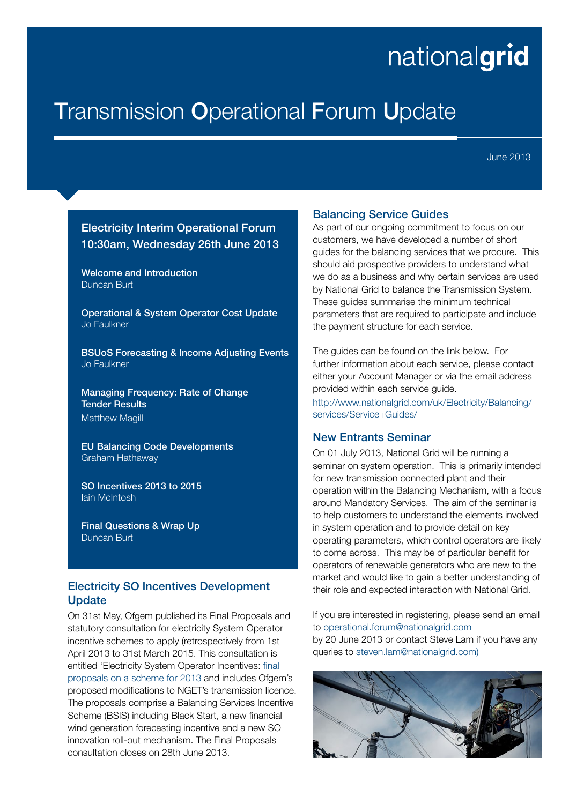# nationalgrid

## **Transmission Operational Forum Update**

June 2013

## Electricity Interim Operational Forum 10:30am, Wednesday 26th June 2013

Welcome and Introduction Duncan Burt

Operational & System Operator Cost Update Jo Faulkner

BSUoS Forecasting & Income Adjusting Events Jo Faulkner

Managing Frequency: Rate of Change Tender Results Matthew Magill

EU Balancing Code Developments Graham Hathaway

SO Incentives 2013 to 2015 Iain McIntosh

Final Questions & Wrap Up Duncan Burt

### Electricity SO Incentives Development **Update**

On 31st May, Ofgem published its Final Proposals and statutory consultation for electricity System Operator incentive schemes to apply (retrospectively from 1st April 2013 to 31st March 2015. This consultation is entitled 'Electricity System Operator Incentives: [final](www.ofgem.gov.uk/Pages/MoreInformation.aspx?docid=344&refer=Markets/WhlMkts/EffSystemOps/SystOpIncent)  [proposals on a scheme for 2013](www.ofgem.gov.uk/Pages/MoreInformation.aspx?docid=344&refer=Markets/WhlMkts/EffSystemOps/SystOpIncent) and includes Ofgem's proposed modifications to NGET's transmission licence. The proposals comprise a Balancing Services Incentive Scheme (BSIS) including Black Start, a new financial wind generation forecasting incentive and a new SO innovation roll-out mechanism. The Final Proposals consultation closes on 28th June 2013.

#### Balancing Service Guides

As part of our ongoing commitment to focus on our customers, we have developed a number of short guides for the balancing services that we procure. This should aid prospective providers to understand what we do as a business and why certain services are used by National Grid to balance the Transmission System. These guides summarise the minimum technical parameters that are required to participate and include the payment structure for each service.

The guides can be found on the link below. For further information about each service, please contact either your Account Manager or via the email address provided within each service guide.

[http://www.nationalgrid.com/uk/Electricity/Balancing/](http://www.nationalgrid.com/uk/Electricity/Balancing/services/Service+Guides/) [services/Service+Guides/](http://www.nationalgrid.com/uk/Electricity/Balancing/services/Service+Guides/)

## New Entrants Seminar

On 01 July 2013, National Grid will be running a seminar on system operation. This is primarily intended for new transmission connected plant and their operation within the Balancing Mechanism, with a focus around Mandatory Services. The aim of the seminar is to help customers to understand the elements involved in system operation and to provide detail on key operating parameters, which control operators are likely to come across. This may be of particular benefit for operators of renewable generators who are new to the market and would like to gain a better understanding of their role and expected interaction with National Grid.

If you are interested in registering, please send an email to operational.forum@nationalgrid.com

by 20 June 2013 or contact Steve Lam if you have any queries to steven.lam@nationalgrid.com)